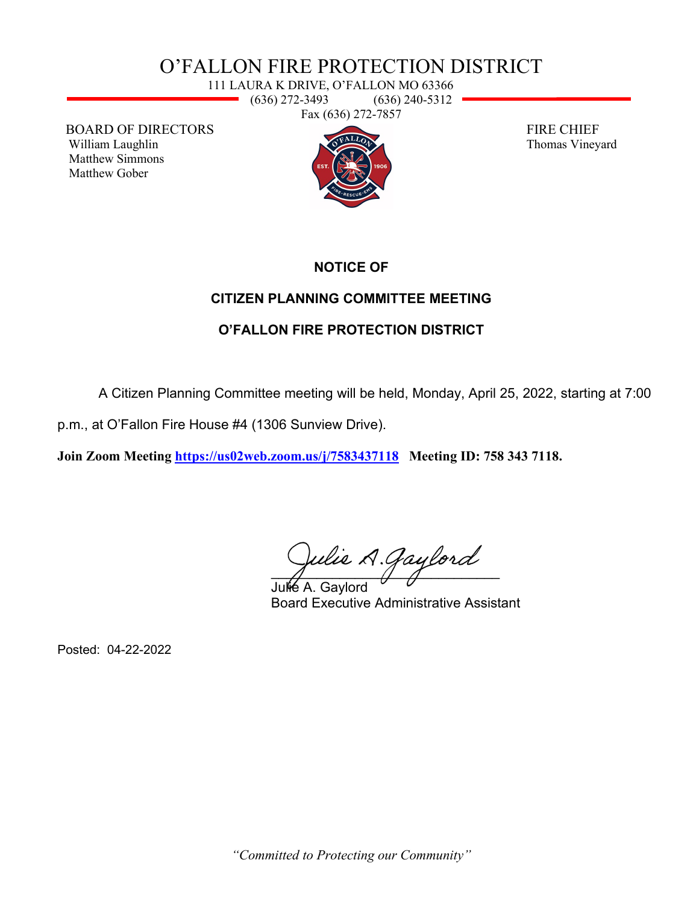# O'FALLON FIRE PROTECTION DISTRICT

111 LAURA K DRIVE, O'FALLON MO 63366 (636) 272-3493 (636) 240-5312 and a Fax (636) 272-7857

BOARD OF DIRECTORS FIRE CHIEF William Laughlin Thomas Vineyard Matthew Simmons Matthew Gober



#### **NOTICE OF**

### **CITIZEN PLANNING COMMITTEE MEETING**

## **O'FALLON FIRE PROTECTION DISTRICT**

A Citizen Planning Committee meeting will be held, Monday, April 25, 2022, starting at 7:00

p.m., at O'Fallon Fire House #4 (1306 Sunview Drive).

**Join Zoom Meeting<https://us02web.zoom.us/j/7583437118>Meeting ID: 758 343 7118.** 

 $\overline{A}$  and  $\overline{A}$ 

Julie A. Gavlord Board Executive Administrative Assistant

Posted: 04-22-2022